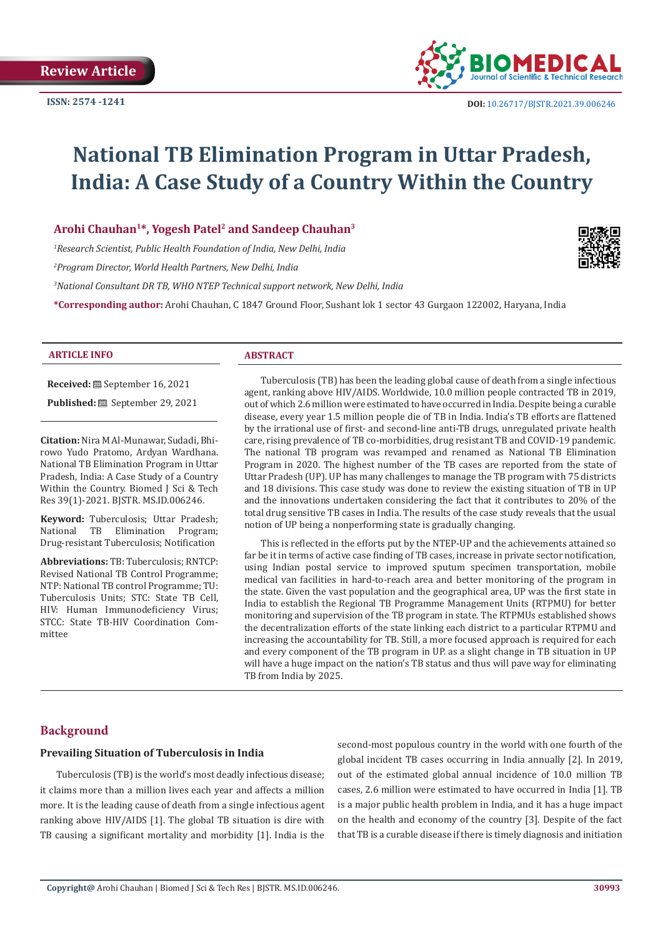

# **National TB Elimination Program in Uttar Pradesh, India: A Case Study of a Country Within the Country**

**Arohi Chauhan1\*, Yogesh Patel2 and Sandeep Chauhan3**

*1 Research Scientist, Public Health Foundation of India, New Delhi, India* 

*2 Program Director, World Health Partners, New Delhi, India*

*3 National Consultant DR TB, WHO NTEP Technical support network, New Delhi, India* 

**\*Corresponding author:** Arohi Chauhan, C 1847 Ground Floor, Sushant lok 1 sector 43 Gurgaon 122002, Haryana, India



#### **ARTICLE INFO ABSTRACT**

**Received:** September 16, 2021 **Published:** September 29, 2021

**Citation:** Nira M Al-Munawar, Sudadi, Bhirowo Yudo Pratomo, Ardyan Wardhana. National TB Elimination Program in Uttar Pradesh, India: A Case Study of a Country Within the Country. Biomed J Sci & Tech Res 39(1)-2021. BJSTR. MS.ID.006246.

**Keyword:** Tuberculosis; Uttar Pradesh; National TB Elimination Program; Drug-resistant Tuberculosis; Notification

**Abbreviations:** TB: Tuberculosis; RNTCP: Revised National TB Control Programme; NTP: National TB control Programme; TU: Tuberculosis Units; STC: State TB Cell, HIV: Human Immunodeficiency Virus; STCC: State TB-HIV Coordination Committee

Tuberculosis (TB) has been the leading global cause of death from a single infectious agent, ranking above HIV/AIDS. Worldwide, 10.0 million people contracted TB in 2019, out of which 2.6 million were estimated to have occurred in India. Despite being a curable disease, every year 1.5 million people die of TB in India. India's TB efforts are flattened by the irrational use of first- and second-line anti-TB drugs, unregulated private health care, rising prevalence of TB co-morbidities, drug resistant TB and COVID-19 pandemic. The national TB program was revamped and renamed as National TB Elimination Program in 2020. The highest number of the TB cases are reported from the state of Uttar Pradesh (UP). UP has many challenges to manage the TB program with 75 districts and 18 divisions. This case study was done to review the existing situation of TB in UP and the innovations undertaken considering the fact that it contributes to 20% of the total drug sensitive TB cases in India. The results of the case study reveals that the usual notion of UP being a nonperforming state is gradually changing.

This is reflected in the efforts put by the NTEP-UP and the achievements attained so far be it in terms of active case finding of TB cases, increase in private sector notification, using Indian postal service to improved sputum specimen transportation, mobile medical van facilities in hard-to-reach area and better monitoring of the program in the state. Given the vast population and the geographical area, UP was the first state in India to establish the Regional TB Programme Management Units (RTPMU) for better monitoring and supervision of the TB program in state. The RTPMUs established shows the decentralization efforts of the state linking each district to a particular RTPMU and increasing the accountability for TB. Still, a more focused approach is required for each and every component of the TB program in UP. as a slight change in TB situation in UP will have a huge impact on the nation's TB status and thus will pave way for eliminating TB from India by 2025.

# **Background**

#### **Prevailing Situation of Tuberculosis in India**

Tuberculosis (TB) is the world's most deadly infectious disease; it claims more than a million lives each year and affects a million more. It is the leading cause of death from a single infectious agent ranking above HIV/AIDS [1]. The global TB situation is dire with TB causing a significant mortality and morbidity [1]. India is the second-most populous country in the world with one fourth of the global incident TB cases occurring in India annually [2]. In 2019, out of the estimated global annual incidence of 10.0 million TB cases, 2.6 million were estimated to have occurred in India [1]. TB is a major public health problem in India, and it has a huge impact on the health and economy of the country [3]. Despite of the fact that TB is a curable disease if there is timely diagnosis and initiation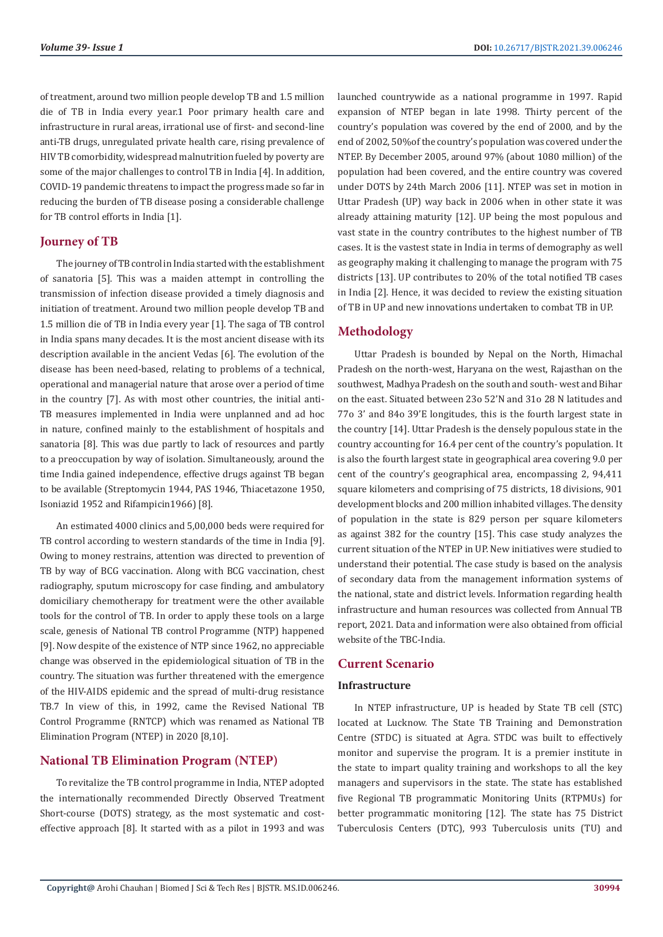of treatment, around two million people develop TB and 1.5 million die of TB in India every year.1 Poor primary health care and infrastructure in rural areas, irrational use of first- and second-line anti-TB drugs, unregulated private health care, rising prevalence of HIV TB comorbidity, widespread malnutrition fueled by poverty are some of the major challenges to control TB in India [4]. In addition, COVID-19 pandemic threatens to impact the progress made so far in reducing the burden of TB disease posing a considerable challenge for TB control efforts in India [1].

# **Journey of TB**

The journey of TB control in India started with the establishment of sanatoria [5]. This was a maiden attempt in controlling the transmission of infection disease provided a timely diagnosis and initiation of treatment. Around two million people develop TB and 1.5 million die of TB in India every year [1]. The saga of TB control in India spans many decades. It is the most ancient disease with its description available in the ancient Vedas [6]. The evolution of the disease has been need-based, relating to problems of a technical, operational and managerial nature that arose over a period of time in the country [7]. As with most other countries, the initial anti-TB measures implemented in India were unplanned and ad hoc in nature, confined mainly to the establishment of hospitals and sanatoria [8]. This was due partly to lack of resources and partly to a preoccupation by way of isolation. Simultaneously, around the time India gained independence, effective drugs against TB began to be available (Streptomycin 1944, PAS 1946, Thiacetazone 1950, Isoniazid 1952 and Rifampicin1966) [8].

An estimated 4000 clinics and 5,00,000 beds were required for TB control according to western standards of the time in India [9]. Owing to money restrains, attention was directed to prevention of TB by way of BCG vaccination. Along with BCG vaccination, chest radiography, sputum microscopy for case finding, and ambulatory domiciliary chemotherapy for treatment were the other available tools for the control of TB. In order to apply these tools on a large scale, genesis of National TB control Programme (NTP) happened [9]. Now despite of the existence of NTP since 1962, no appreciable change was observed in the epidemiological situation of TB in the country. The situation was further threatened with the emergence of the HIV-AIDS epidemic and the spread of multi-drug resistance TB.7 In view of this, in 1992, came the Revised National TB Control Programme (RNTCP) which was renamed as National TB Elimination Program (NTEP) in 2020 [8,10].

# **National TB Elimination Program (NTEP)**

To revitalize the TB control programme in India, NTEP adopted the internationally recommended Directly Observed Treatment Short-course (DOTS) strategy, as the most systematic and costeffective approach [8]. It started with as a pilot in 1993 and was

launched countrywide as a national programme in 1997. Rapid expansion of NTEP began in late 1998. Thirty percent of the country's population was covered by the end of 2000, and by the end of 2002, 50%of the country's population was covered under the NTEP. By December 2005, around 97% (about 1080 million) of the population had been covered, and the entire country was covered under DOTS by 24th March 2006 [11]. NTEP was set in motion in Uttar Pradesh (UP) way back in 2006 when in other state it was already attaining maturity [12]. UP being the most populous and vast state in the country contributes to the highest number of TB cases. It is the vastest state in India in terms of demography as well as geography making it challenging to manage the program with 75 districts [13]. UP contributes to 20% of the total notified TB cases in India [2]. Hence, it was decided to review the existing situation of TB in UP and new innovations undertaken to combat TB in UP.

# **Methodology**

Uttar Pradesh is bounded by Nepal on the North, Himachal Pradesh on the north-west, Haryana on the west, Rajasthan on the southwest, Madhya Pradesh on the south and south- west and Bihar on the east. Situated between 23o 52'N and 31o 28 N latitudes and 77o 3' and 84o 39'E longitudes, this is the fourth largest state in the country [14]. Uttar Pradesh is the densely populous state in the country accounting for 16.4 per cent of the country's population. It is also the fourth largest state in geographical area covering 9.0 per cent of the country's geographical area, encompassing 2, 94,411 square kilometers and comprising of 75 districts, 18 divisions, 901 development blocks and 200 million inhabited villages. The density of population in the state is 829 person per square kilometers as against 382 for the country [15]. This case study analyzes the current situation of the NTEP in UP. New initiatives were studied to understand their potential. The case study is based on the analysis of secondary data from the management information systems of the national, state and district levels. Information regarding health infrastructure and human resources was collected from Annual TB report, 2021. Data and information were also obtained from official website of the TBC-India.

# **Current Scenario**

### **Infrastructure**

In NTEP infrastructure, UP is headed by State TB cell (STC) located at Lucknow. The State TB Training and Demonstration Centre (STDC) is situated at Agra. STDC was built to effectively monitor and supervise the program. It is a premier institute in the state to impart quality training and workshops to all the key managers and supervisors in the state. The state has established five Regional TB programmatic Monitoring Units (RTPMUs) for better programmatic monitoring [12]. The state has 75 District Tuberculosis Centers (DTC), 993 Tuberculosis units (TU) and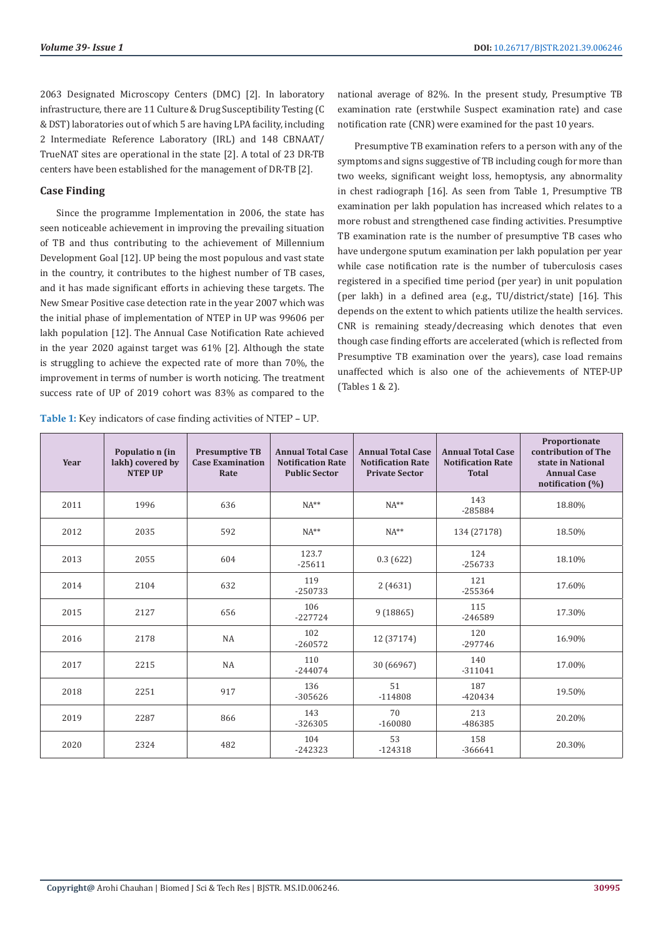2063 Designated Microscopy Centers (DMC) [2]. In laboratory infrastructure, there are 11 Culture & Drug Susceptibility Testing (C & DST) laboratories out of which 5 are having LPA facility, including 2 Intermediate Reference Laboratory (IRL) and 148 CBNAAT/ TrueNAT sites are operational in the state [2]. A total of 23 DR-TB centers have been established for the management of DR-TB [2].

### **Case Finding**

Since the programme Implementation in 2006, the state has seen noticeable achievement in improving the prevailing situation of TB and thus contributing to the achievement of Millennium Development Goal [12]. UP being the most populous and vast state in the country, it contributes to the highest number of TB cases, and it has made significant efforts in achieving these targets. The New Smear Positive case detection rate in the year 2007 which was the initial phase of implementation of NTEP in UP was 99606 per lakh population [12]. The Annual Case Notification Rate achieved in the year 2020 against target was 61% [2]. Although the state is struggling to achieve the expected rate of more than 70%, the improvement in terms of number is worth noticing. The treatment success rate of UP of 2019 cohort was 83% as compared to the

**Table 1:** Key indicators of case finding activities of NTEP – UP.

national average of 82%. In the present study, Presumptive TB examination rate (erstwhile Suspect examination rate) and case notification rate (CNR) were examined for the past 10 years.

Presumptive TB examination refers to a person with any of the symptoms and signs suggestive of TB including cough for more than two weeks, significant weight loss, hemoptysis, any abnormality in chest radiograph [16]. As seen from Table 1, Presumptive TB examination per lakh population has increased which relates to a more robust and strengthened case finding activities. Presumptive TB examination rate is the number of presumptive TB cases who have undergone sputum examination per lakh population per year while case notification rate is the number of tuberculosis cases registered in a specified time period (per year) in unit population (per lakh) in a defined area (e.g., TU/district/state) [16]. This depends on the extent to which patients utilize the health services. CNR is remaining steady/decreasing which denotes that even though case finding efforts are accelerated (which is reflected from Presumptive TB examination over the years), case load remains unaffected which is also one of the achievements of NTEP-UP (Tables 1 & 2).

| Year | Populatio n (in<br>lakh) covered by<br><b>NTEP UP</b> | <b>Presumptive TB</b><br><b>Case Examination</b><br>Rate | <b>Annual Total Case</b><br><b>Notification Rate</b><br><b>Public Sector</b> | <b>Annual Total Case</b><br><b>Notification Rate</b><br><b>Private Sector</b> | <b>Annual Total Case</b><br><b>Notification Rate</b><br><b>Total</b> | Proportionate<br>contribution of The<br>state in National<br><b>Annual Case</b><br>notification (%) |
|------|-------------------------------------------------------|----------------------------------------------------------|------------------------------------------------------------------------------|-------------------------------------------------------------------------------|----------------------------------------------------------------------|-----------------------------------------------------------------------------------------------------|
| 2011 | 1996                                                  | 636                                                      | $NA**$                                                                       | $NA**$                                                                        | 143<br>-285884                                                       | 18.80%                                                                                              |
| 2012 | 2035                                                  | 592                                                      | $NA**$                                                                       | $NA**$                                                                        | 134 (27178)                                                          | 18.50%                                                                                              |
| 2013 | 2055                                                  | 604                                                      | 123.7<br>$-25611$                                                            | 0.3(622)                                                                      | 124<br>$-256733$                                                     | 18.10%                                                                                              |
| 2014 | 2104                                                  | 632                                                      | 119<br>$-250733$                                                             | 2(4631)                                                                       | 121<br>$-255364$                                                     | 17.60%                                                                                              |
| 2015 | 2127                                                  | 656                                                      | 106<br>$-227724$                                                             | 9(18865)                                                                      | 115<br>-246589                                                       | 17.30%                                                                                              |
| 2016 | 2178                                                  | <b>NA</b>                                                | 102<br>$-260572$                                                             | 12 (37174)                                                                    | 120<br>$-297746$                                                     | 16.90%                                                                                              |
| 2017 | 2215                                                  | <b>NA</b>                                                | 110<br>$-244074$                                                             | 30 (66967)                                                                    | 140<br>$-311041$                                                     | 17.00%                                                                                              |
| 2018 | 2251                                                  | 917                                                      | 136<br>$-305626$                                                             | 51<br>$-114808$                                                               | 187<br>$-420434$                                                     | 19.50%                                                                                              |
| 2019 | 2287                                                  | 866                                                      | 143<br>$-326305$                                                             | 70<br>$-160080$                                                               | 213<br>-486385                                                       | 20.20%                                                                                              |
| 2020 | 2324                                                  | 482                                                      | 104<br>$-242323$                                                             | 53<br>$-124318$                                                               | 158<br>$-366641$                                                     | 20.30%                                                                                              |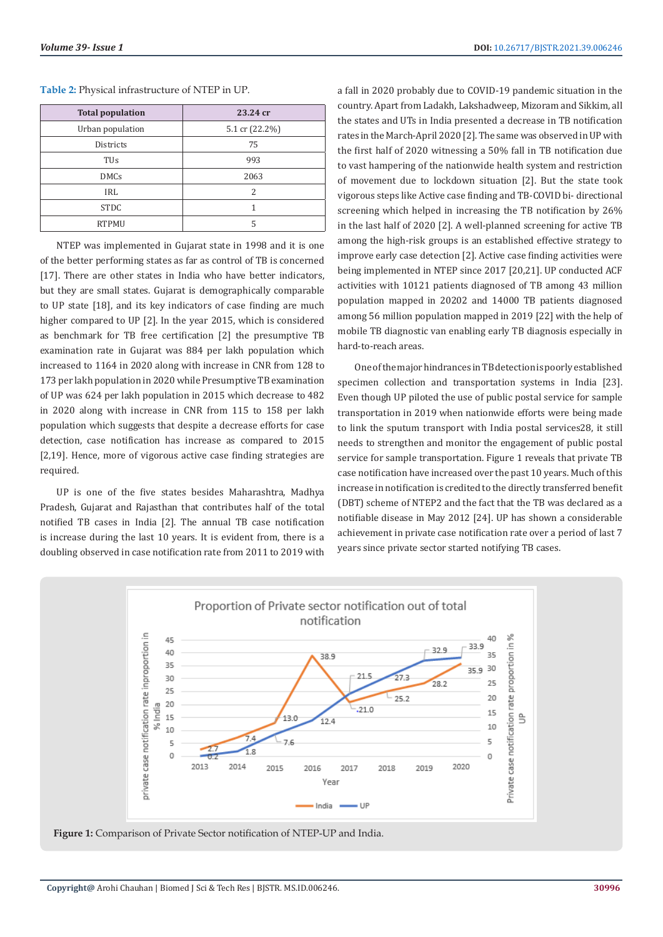#### **Table 2:** Physical infrastructure of NTEP in UP.

| <b>Total population</b> | 23.24 cr       |  |  |
|-------------------------|----------------|--|--|
| Urban population        | 5.1 cr (22.2%) |  |  |
| <b>Districts</b>        | 75             |  |  |
| TUs                     | 993            |  |  |
| <b>DMCs</b>             | 2063           |  |  |
| IRL                     | $\mathcal{P}$  |  |  |
| <b>STDC</b>             |                |  |  |
| <b>RTPMU</b>            | 5              |  |  |

NTEP was implemented in Gujarat state in 1998 and it is one of the better performing states as far as control of TB is concerned [17]. There are other states in India who have better indicators, but they are small states. Gujarat is demographically comparable to UP state [18], and its key indicators of case finding are much higher compared to UP [2]. In the year 2015, which is considered as benchmark for TB free certification [2] the presumptive TB examination rate in Gujarat was 884 per lakh population which increased to 1164 in 2020 along with increase in CNR from 128 to 173 per lakh population in 2020 while Presumptive TB examination of UP was 624 per lakh population in 2015 which decrease to 482 in 2020 along with increase in CNR from 115 to 158 per lakh population which suggests that despite a decrease efforts for case detection, case notification has increase as compared to 2015 [2,19]. Hence, more of vigorous active case finding strategies are required.

UP is one of the five states besides Maharashtra, Madhya Pradesh, Gujarat and Rajasthan that contributes half of the total notified TB cases in India [2]. The annual TB case notification is increase during the last 10 years. It is evident from, there is a doubling observed in case notification rate from 2011 to 2019 with

a fall in 2020 probably due to COVID-19 pandemic situation in the country. Apart from Ladakh, Lakshadweep, Mizoram and Sikkim, all the states and UTs in India presented a decrease in TB notification rates in the March-April 2020 [2]. The same was observed in UP with the first half of 2020 witnessing a 50% fall in TB notification due to vast hampering of the nationwide health system and restriction of movement due to lockdown situation [2]. But the state took vigorous steps like Active case finding and TB-COVID bi- directional screening which helped in increasing the TB notification by 26% in the last half of 2020 [2]. A well-planned screening for active TB among the high-risk groups is an established effective strategy to improve early case detection [2]. Active case finding activities were being implemented in NTEP since 2017 [20,21]. UP conducted ACF activities with 10121 patients diagnosed of TB among 43 million population mapped in 20202 and 14000 TB patients diagnosed among 56 million population mapped in 2019 [22] with the help of mobile TB diagnostic van enabling early TB diagnosis especially in hard-to-reach areas.

One of the major hindrances in TB detection is poorly established specimen collection and transportation systems in India [23]. Even though UP piloted the use of public postal service for sample transportation in 2019 when nationwide efforts were being made to link the sputum transport with India postal services28, it still needs to strengthen and monitor the engagement of public postal service for sample transportation. Figure 1 reveals that private TB case notification have increased over the past 10 years. Much of this increase in notification is credited to the directly transferred benefit (DBT) scheme of NTEP2 and the fact that the TB was declared as a notifiable disease in May 2012 [24]. UP has shown a considerable achievement in private case notification rate over a period of last 7 years since private sector started notifying TB cases.



**Figure 1:** Comparison of Private Sector notification of NTEP-UP and India.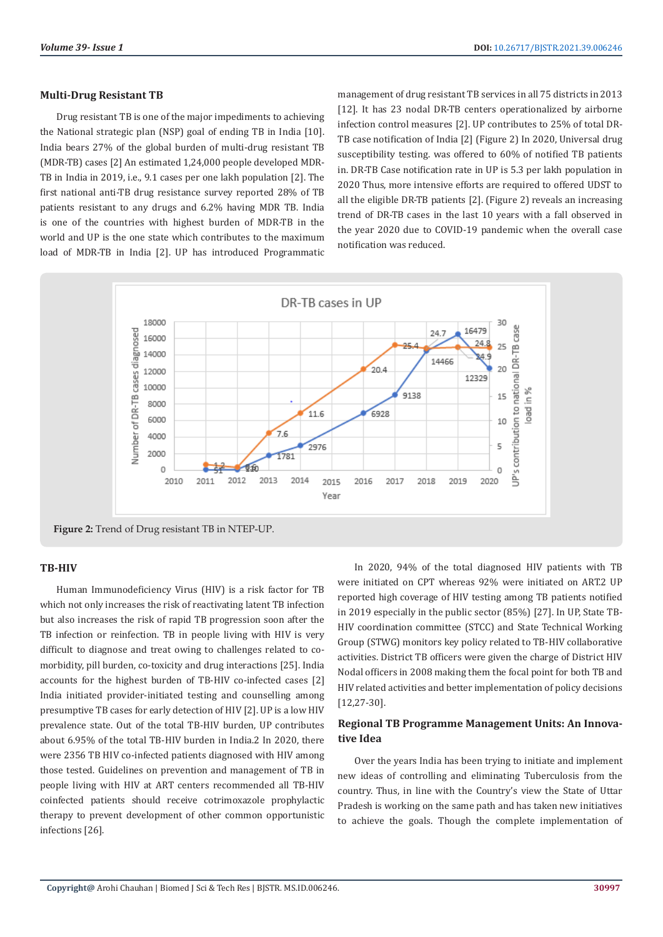### **Multi-Drug Resistant TB**

Drug resistant TB is one of the major impediments to achieving the National strategic plan (NSP) goal of ending TB in India [10]. India bears 27% of the global burden of multi-drug resistant TB (MDR-TB) cases [2] An estimated 1,24,000 people developed MDR-TB in India in 2019, i.e., 9.1 cases per one lakh population [2]. The first national anti-TB drug resistance survey reported 28% of TB patients resistant to any drugs and 6.2% having MDR TB. India is one of the countries with highest burden of MDR-TB in the world and UP is the one state which contributes to the maximum load of MDR-TB in India [2]. UP has introduced Programmatic management of drug resistant TB services in all 75 districts in 2013 [12]. It has 23 nodal DR-TB centers operationalized by airborne infection control measures [2]. UP contributes to 25% of total DR-TB case notification of India [2] (Figure 2) In 2020, Universal drug susceptibility testing. was offered to 60% of notified TB patients in. DR-TB Case notification rate in UP is 5.3 per lakh population in 2020 Thus, more intensive efforts are required to offered UDST to all the eligible DR-TB patients [2]. (Figure 2) reveals an increasing trend of DR-TB cases in the last 10 years with a fall observed in the year 2020 due to COVID-19 pandemic when the overall case notification was reduced.



#### **TB-HIV**

Human Immunodeficiency Virus (HIV) is a risk factor for TB which not only increases the risk of reactivating latent TB infection but also increases the risk of rapid TB progression soon after the TB infection or reinfection. TB in people living with HIV is very difficult to diagnose and treat owing to challenges related to comorbidity, pill burden, co-toxicity and drug interactions [25]. India accounts for the highest burden of TB-HIV co-infected cases [2] India initiated provider-initiated testing and counselling among presumptive TB cases for early detection of HIV [2]. UP is a low HIV prevalence state. Out of the total TB-HIV burden, UP contributes about 6.95% of the total TB-HIV burden in India.2 In 2020, there were 2356 TB HIV co-infected patients diagnosed with HIV among those tested. Guidelines on prevention and management of TB in people living with HIV at ART centers recommended all TB-HIV coinfected patients should receive cotrimoxazole prophylactic therapy to prevent development of other common opportunistic infections [26].

In 2020, 94% of the total diagnosed HIV patients with TB were initiated on CPT whereas 92% were initiated on ART.2 UP reported high coverage of HIV testing among TB patients notified in 2019 especially in the public sector (85%) [27]. In UP, State TB-HIV coordination committee (STCC) and State Technical Working Group (STWG) monitors key policy related to TB-HIV collaborative activities. District TB officers were given the charge of District HIV Nodal officers in 2008 making them the focal point for both TB and HIV related activities and better implementation of policy decisions [12,27-30].

## **Regional TB Programme Management Units: An Innovative Idea**

Over the years India has been trying to initiate and implement new ideas of controlling and eliminating Tuberculosis from the country. Thus, in line with the Country's view the State of Uttar Pradesh is working on the same path and has taken new initiatives to achieve the goals. Though the complete implementation of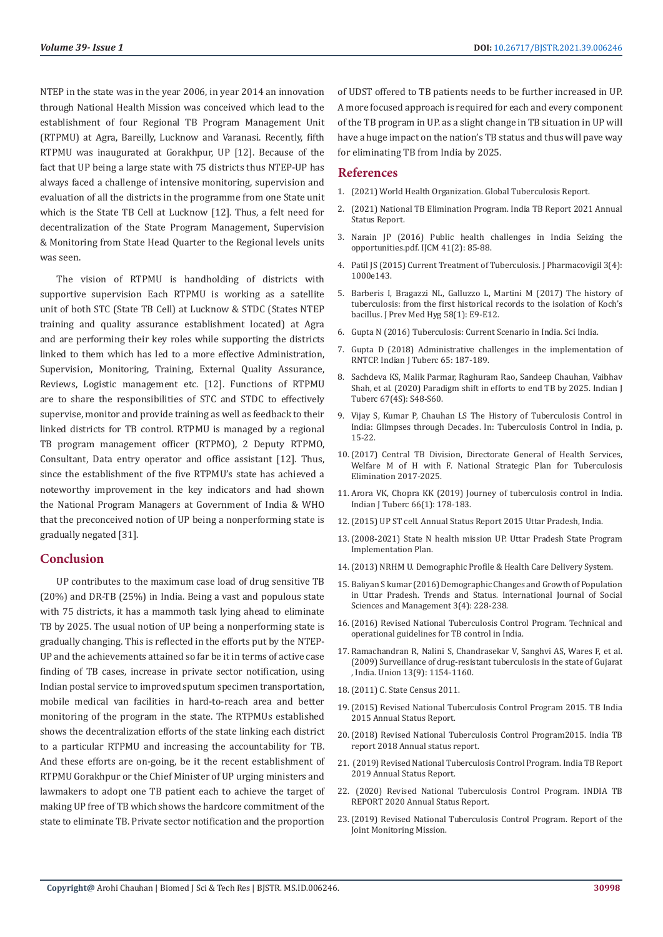NTEP in the state was in the year 2006, in year 2014 an innovation through National Health Mission was conceived which lead to the establishment of four Regional TB Program Management Unit (RTPMU) at Agra, Bareilly, Lucknow and Varanasi. Recently, fifth RTPMU was inaugurated at Gorakhpur, UP [12]. Because of the fact that UP being a large state with 75 districts thus NTEP-UP has always faced a challenge of intensive monitoring, supervision and evaluation of all the districts in the programme from one State unit which is the State TB Cell at Lucknow [12]. Thus, a felt need for decentralization of the State Program Management, Supervision & Monitoring from State Head Quarter to the Regional levels units was seen.

The vision of RTPMU is handholding of districts with supportive supervision Each RTPMU is working as a satellite unit of both STC (State TB Cell) at Lucknow & STDC (States NTEP training and quality assurance establishment located) at Agra and are performing their key roles while supporting the districts linked to them which has led to a more effective Administration, Supervision, Monitoring, Training, External Quality Assurance, Reviews, Logistic management etc. [12]. Functions of RTPMU are to share the responsibilities of STC and STDC to effectively supervise, monitor and provide training as well as feedback to their linked districts for TB control. RTPMU is managed by a regional TB program management officer (RTPMO), 2 Deputy RTPMO, Consultant, Data entry operator and office assistant [12]. Thus, since the establishment of the five RTPMU's state has achieved a noteworthy improvement in the key indicators and had shown the National Program Managers at Government of India & WHO that the preconceived notion of UP being a nonperforming state is gradually negated [31].

### **Conclusion**

UP contributes to the maximum case load of drug sensitive TB (20%) and DR-TB (25%) in India. Being a vast and populous state with 75 districts, it has a mammoth task lying ahead to eliminate TB by 2025. The usual notion of UP being a nonperforming state is gradually changing. This is reflected in the efforts put by the NTEP-UP and the achievements attained so far be it in terms of active case finding of TB cases, increase in private sector notification, using Indian postal service to improved sputum specimen transportation, mobile medical van facilities in hard-to-reach area and better monitoring of the program in the state. The RTPMUs established shows the decentralization efforts of the state linking each district to a particular RTPMU and increasing the accountability for TB. And these efforts are on-going, be it the recent establishment of RTPMU Gorakhpur or the Chief Minister of UP urging ministers and lawmakers to adopt one TB patient each to achieve the target of making UP free of TB which shows the hardcore commitment of the state to eliminate TB. Private sector notification and the proportion

of UDST offered to TB patients needs to be further increased in UP. A more focused approach is required for each and every component of the TB program in UP. as a slight change in TB situation in UP will have a huge impact on the nation's TB status and thus will pave way for eliminating TB from India by 2025.

#### **References**

- 1. (2021) World Health Organization. Global Tuberculosis Report.
- 2. [\(2021\) National TB Elimination Program. India TB Report 2021 Annual](https://tbcindia.gov.in/showfile.php?lid=3587) [Status Report.](https://tbcindia.gov.in/showfile.php?lid=3587)
- 3. [Narain JP \(2016\) Public health challenges in India Seizing the](https://www.ncbi.nlm.nih.gov/pmc/articles/PMC4799645/) [opportunities.pdf. IJCM 41\(2\): 85-88.](https://www.ncbi.nlm.nih.gov/pmc/articles/PMC4799645/)
- 4. [Patil JS \(2015\) Current Treatment of Tuberculosis. J Pharmacovigil 3\(4\):](https://www.longdom.org/open-access/current-treatment-of-tuberculosis-2329-6887-1000e143.pdf) [1000e143.](https://www.longdom.org/open-access/current-treatment-of-tuberculosis-2329-6887-1000e143.pdf)
- 5. [Barberis I, Bragazzi NL, Galluzzo L, Martini M \(2017\) The history of](https://www.ncbi.nlm.nih.gov/pmc/articles/PMC5432783/) [tuberculosis: from the first historical records to the isolation of Koch's](https://www.ncbi.nlm.nih.gov/pmc/articles/PMC5432783/) [bacillus. J Prev Med Hyg 58\(1\): E9-E12.](https://www.ncbi.nlm.nih.gov/pmc/articles/PMC5432783/)
- 6. Gupta N (2016) Tuberculosis: Current Scenario in India. Sci India.
- 7. [Gupta D \(2018\) Administrative challenges in the implementation of](https://pubmed.ncbi.nlm.nih.gov/29933858/) [RNTCP. Indian J Tuberc 65: 187-189.](https://pubmed.ncbi.nlm.nih.gov/29933858/)
- 8. [Sachdeva KS, Malik Parmar, Raghuram Rao, Sandeep Chauhan, Vaibhav](https://pubmed.ncbi.nlm.nih.gov/33308672/) [Shah, et al. \(2020\) Paradigm shift in efforts to end TB by 2025. Indian J](https://pubmed.ncbi.nlm.nih.gov/33308672/) [Tuberc 67\(4S\): S48-S60.](https://pubmed.ncbi.nlm.nih.gov/33308672/)
- 9. Vijay S, Kumar P, Chauhan LS The History of Tuberculosis Control in India: Glimpses through Decades. In: Tuberculosis Control in India, p. 15-22.
- 10.[\(2017\) Central TB Division, Directorate General of Health Services,](https://tbcindia.gov.in/WriteReadData/NSP%20Draft%2020.02.2017%201.pdf) [Welfare M of H with F. National Strategic Plan for Tuberculosis](https://tbcindia.gov.in/WriteReadData/NSP%20Draft%2020.02.2017%201.pdf) [Elimination 2017-2025.](https://tbcindia.gov.in/WriteReadData/NSP%20Draft%2020.02.2017%201.pdf)
- 11. [Arora VK, Chopra KK \(2019\) Journey of tuberculosis control in India.](https://pubmed.ncbi.nlm.nih.gov/30878065/) [Indian J Tuberc 66\(1\): 178-183.](https://pubmed.ncbi.nlm.nih.gov/30878065/)
- 12.(2015) UP ST cell. Annual Status Report 2015 Uttar Pradesh, India.
- 13.[\(2008-2021\) State N health mission UP. Uttar Pradesh State Program](file:///F:/Journals/BJSTR.MS.ID.006246/BJSTR-OTO-21-RW-197_W/BJSTR-OTO-21-RW-197_W/1.%09https:/nhm.gov.in/index4.php?lang=1&level=0&linkid=49&lid=62) [Implementation Plan.](file:///F:/Journals/BJSTR.MS.ID.006246/BJSTR-OTO-21-RW-197_W/BJSTR-OTO-21-RW-197_W/1.%09https:/nhm.gov.in/index4.php?lang=1&level=0&linkid=49&lid=62)
- 14.(2013) NRHM U. Demographic Profile & Health Care Delivery System.
- 15. [Baliyan S kumar \(2016\) Demographic Changes and Growth of Population](https://www.nepjol.info/index.php/IJSSM/article/view/15961) [in Uttar Pradesh. Trends and Status. International Journal of Social](https://www.nepjol.info/index.php/IJSSM/article/view/15961) [Sciences and Management 3\(4\): 228-238.](https://www.nepjol.info/index.php/IJSSM/article/view/15961)
- 16.[\(2016\) Revised National Tuberculosis Control Program. Technical and](file:///F:/Journals/BJSTR.MS.ID.006246/BJSTR-OTO-21-RW-197_W/BJSTR-OTO-21-RW-197_W/1.%09https:/www.tbcindia.gov.in/index1.php?lang=1&level=2&sublinkid=4573&lid=3177) [operational guidelines for TB control in India.](file:///F:/Journals/BJSTR.MS.ID.006246/BJSTR-OTO-21-RW-197_W/BJSTR-OTO-21-RW-197_W/1.%09https:/www.tbcindia.gov.in/index1.php?lang=1&level=2&sublinkid=4573&lid=3177)
- 17. [Ramachandran R, Nalini S, Chandrasekar V, Sanghvi AS, Wares F, et al.](https://pubmed.ncbi.nlm.nih.gov/19723407/) [\(2009\) Surveillance of drug-resistant tuberculosis in the state of Gujarat](https://pubmed.ncbi.nlm.nih.gov/19723407/) [, India. Union 13\(9\): 1154-1160.](https://pubmed.ncbi.nlm.nih.gov/19723407/)
- 18.(2011) C. State Census 2011.
- 19.[\(2015\) Revised National Tuberculosis Control Program 2015. TB India](https://www.tbcindia.gov.in/showfile.php?lid=3166) [2015 Annual Status Report.](https://www.tbcindia.gov.in/showfile.php?lid=3166)
- 20.[\(2018\) Revised National Tuberculosis Control Program2015. India TB](https://www.tbcindia.gov.in/showfile.php?lid=3314) [report 2018 Annual status report.](https://www.tbcindia.gov.in/showfile.php?lid=3314)
- 21. [\(2019\) Revised National Tuberculosis Control Program. India TB Report](https://tbcindia.gov.in/WriteReadData/India%20TB%20Report%202019.pdf) [2019 Annual Status Report.](https://tbcindia.gov.in/WriteReadData/India%20TB%20Report%202019.pdf)
- 22. [\(2020\) Revised National Tuberculosis Control Program. INDIA TB](https://www.tbcindia.gov.in/showfile.php?lid=3538) [REPORT 2020 Annual Status Report.](https://www.tbcindia.gov.in/showfile.php?lid=3538)
- 23.[\(2019\) Revised National Tuberculosis Control Program. Report of the](https://www.tbcindia.gov.in/showfile.php?lid=3536) [Joint Monitoring Mission.](https://www.tbcindia.gov.in/showfile.php?lid=3536)